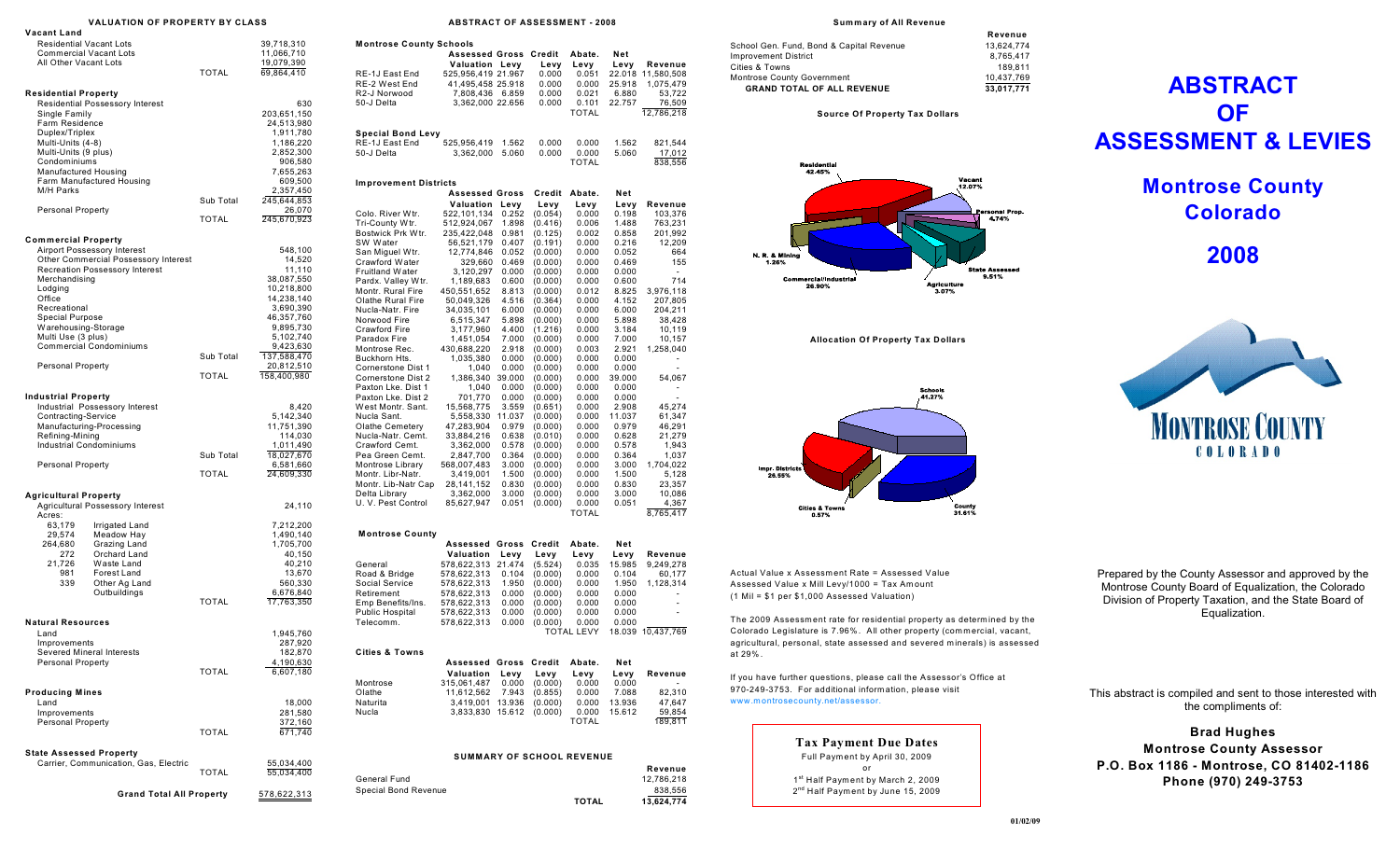|                                                                                                                                                                                                                | VALUATION OF PROPERTY BY CLASS                                                                                                                                 |                           |                                                                                                                                                                                     |
|----------------------------------------------------------------------------------------------------------------------------------------------------------------------------------------------------------------|----------------------------------------------------------------------------------------------------------------------------------------------------------------|---------------------------|-------------------------------------------------------------------------------------------------------------------------------------------------------------------------------------|
| Vacant Land<br><b>Residential Vacant Lots</b><br><b>Commercial Vacant Lots</b><br>All Other Vacant Lots                                                                                                        |                                                                                                                                                                | <b>TOTAL</b>              | 39,718,310<br>11,066,710<br>19,079,390<br>69,864,410                                                                                                                                |
| <b>Residential Property</b><br>Single Family<br>Farm Residence<br>Duplex/Triplex<br>Multi-Units (4-8)<br>Multi-Units (9 plus)<br>Condominiums<br>Manufactured Housing<br>M/H Parks<br><b>Personal Property</b> | <b>Residential Possessory Interest</b><br>Farm Manufactured Housing                                                                                            | Sub Total<br><b>TOTAL</b> | 630<br>203,651,150<br>24,513,980<br>1,911,780<br>1,186,220<br>2,852,300<br>906,580<br>7,655,263<br>609,500<br>2,357,450<br>245,644,853<br>26,070<br>245,670,923                     |
| <b>Commercial Property</b><br>Merchandising<br>Lodging<br>Office<br>Recreational<br><b>Special Purpose</b><br>Warehousing-Storage<br>Multi Use (3 plus)<br><b>Personal Property</b>                            | Airport Possessory Interest<br>Other Commercial Possessory Interest<br>Recreation Possessory Interest<br><b>Commercial Condominiums</b>                        | Sub Total<br><b>TOTAL</b> | 548,100<br>14,520<br>11,110<br>38,087,550<br>10,218,800<br>14,238,140<br>3,690,390<br>46,357,760<br>9,895,730<br>5,102,740<br>9,423,630<br>137,588,470<br>20,812,510<br>158,400,980 |
| <b>Industrial Property</b><br>Contracting-Service<br>Refining-Mining<br><b>Industrial Condominiums</b><br><b>Personal Property</b>                                                                             | Industrial Possessory Interest<br>Manufacturing-Processing                                                                                                     | Sub Total<br><b>TOTAL</b> | 8,420<br>5,142,340<br>11,751,390<br>114,030<br>1,011,490<br>18,027,670<br>6,581,660<br>24,609,330                                                                                   |
| Agricultural Property<br>Acres:<br>63,179<br>29,574<br>264,680<br>272<br>21,726<br>981<br>339                                                                                                                  | Agricultural Possessory Interest<br>Irrigated Land<br>Meadow Hay<br>Grazing Land<br>Orchard Land<br>Waste Land<br>Forest Land<br>Other Ag Land<br>Outbuildings | <b>TOTAL</b>              | 24,110<br>7,212,200<br>1,490,140<br>1,705,700<br>40,150<br>40,210<br>13,670<br>560,330<br>6,676,840<br>17,763,350                                                                   |
| <b>Natural Resources</b><br>Land<br>Improvements<br>Severed Mineral Interests<br><b>Personal Property</b>                                                                                                      |                                                                                                                                                                | <b>TOTAL</b>              | 1,945,760<br>287,920<br>182,870<br>4,190,630<br>6,607,180                                                                                                                           |
| <b>Producing Mines</b><br>Land<br>Improvements<br>Personal Property<br><b>State Assessed Property</b>                                                                                                          |                                                                                                                                                                | <b>TOTAL</b>              | 18,000<br>281,580<br>372,160<br>671,740                                                                                                                                             |
|                                                                                                                                                                                                                | Carrier, Communication, Gas, Electric                                                                                                                          | <b>TOTAL</b>              | 55,034,400<br>55,034,400                                                                                                                                                            |
|                                                                                                                                                                                                                | <b>Grand Total All Property</b>                                                                                                                                | 578,622,313               |                                                                                                                                                                                     |

## **ABSTRACT OF ASSESSMENT - 2008**

| <b>Assessed Gross Credit</b> |                                                                                                                                                                                                                                                           | Levy                                                                                                                                                                                                                                                                                                                                                                                                                                                                                     | Abate.<br>Levy                                                                                                                                                                                                                                                                                         | Net<br>Levy                                                                                                                                                                                                                      | Revenue                                                                                                                                                                                                            |
|------------------------------|-----------------------------------------------------------------------------------------------------------------------------------------------------------------------------------------------------------------------------------------------------------|------------------------------------------------------------------------------------------------------------------------------------------------------------------------------------------------------------------------------------------------------------------------------------------------------------------------------------------------------------------------------------------------------------------------------------------------------------------------------------------|--------------------------------------------------------------------------------------------------------------------------------------------------------------------------------------------------------------------------------------------------------------------------------------------------------|----------------------------------------------------------------------------------------------------------------------------------------------------------------------------------------------------------------------------------|--------------------------------------------------------------------------------------------------------------------------------------------------------------------------------------------------------------------|
|                              |                                                                                                                                                                                                                                                           | 0.000                                                                                                                                                                                                                                                                                                                                                                                                                                                                                    | 0.051                                                                                                                                                                                                                                                                                                  |                                                                                                                                                                                                                                  | 22.018 11,580,508                                                                                                                                                                                                  |
|                              |                                                                                                                                                                                                                                                           |                                                                                                                                                                                                                                                                                                                                                                                                                                                                                          |                                                                                                                                                                                                                                                                                                        |                                                                                                                                                                                                                                  | 1,075,479                                                                                                                                                                                                          |
|                              |                                                                                                                                                                                                                                                           |                                                                                                                                                                                                                                                                                                                                                                                                                                                                                          |                                                                                                                                                                                                                                                                                                        |                                                                                                                                                                                                                                  | 53,722<br>76,509                                                                                                                                                                                                   |
|                              |                                                                                                                                                                                                                                                           |                                                                                                                                                                                                                                                                                                                                                                                                                                                                                          | TOTAL                                                                                                                                                                                                                                                                                                  |                                                                                                                                                                                                                                  | 12,786,218                                                                                                                                                                                                         |
| <b>Special Bond Levy</b>     |                                                                                                                                                                                                                                                           |                                                                                                                                                                                                                                                                                                                                                                                                                                                                                          |                                                                                                                                                                                                                                                                                                        |                                                                                                                                                                                                                                  |                                                                                                                                                                                                                    |
|                              |                                                                                                                                                                                                                                                           |                                                                                                                                                                                                                                                                                                                                                                                                                                                                                          |                                                                                                                                                                                                                                                                                                        |                                                                                                                                                                                                                                  | 821,544                                                                                                                                                                                                            |
|                              |                                                                                                                                                                                                                                                           |                                                                                                                                                                                                                                                                                                                                                                                                                                                                                          | TOTAL                                                                                                                                                                                                                                                                                                  |                                                                                                                                                                                                                                  | 17,012<br>838,556                                                                                                                                                                                                  |
| <b>Improvement Districts</b> |                                                                                                                                                                                                                                                           |                                                                                                                                                                                                                                                                                                                                                                                                                                                                                          |                                                                                                                                                                                                                                                                                                        |                                                                                                                                                                                                                                  |                                                                                                                                                                                                                    |
|                              |                                                                                                                                                                                                                                                           | Credit                                                                                                                                                                                                                                                                                                                                                                                                                                                                                   | Abate.                                                                                                                                                                                                                                                                                                 | Net                                                                                                                                                                                                                              |                                                                                                                                                                                                                    |
|                              |                                                                                                                                                                                                                                                           |                                                                                                                                                                                                                                                                                                                                                                                                                                                                                          |                                                                                                                                                                                                                                                                                                        |                                                                                                                                                                                                                                  | Revenue                                                                                                                                                                                                            |
|                              |                                                                                                                                                                                                                                                           |                                                                                                                                                                                                                                                                                                                                                                                                                                                                                          |                                                                                                                                                                                                                                                                                                        |                                                                                                                                                                                                                                  | 103,376<br>763,231                                                                                                                                                                                                 |
|                              |                                                                                                                                                                                                                                                           |                                                                                                                                                                                                                                                                                                                                                                                                                                                                                          | 0.002                                                                                                                                                                                                                                                                                                  | 0.858                                                                                                                                                                                                                            | 201,992                                                                                                                                                                                                            |
| 56,521,179                   | 0.407                                                                                                                                                                                                                                                     | (0.191)                                                                                                                                                                                                                                                                                                                                                                                                                                                                                  | 0.000                                                                                                                                                                                                                                                                                                  | 0.216                                                                                                                                                                                                                            | 12,209                                                                                                                                                                                                             |
|                              | 0.052                                                                                                                                                                                                                                                     | (0.000)                                                                                                                                                                                                                                                                                                                                                                                                                                                                                  | 0.000                                                                                                                                                                                                                                                                                                  | 0.052                                                                                                                                                                                                                            | 664                                                                                                                                                                                                                |
|                              | 0.469                                                                                                                                                                                                                                                     | (0.000)                                                                                                                                                                                                                                                                                                                                                                                                                                                                                  | 0.000                                                                                                                                                                                                                                                                                                  | 0.469                                                                                                                                                                                                                            | 155                                                                                                                                                                                                                |
|                              |                                                                                                                                                                                                                                                           | (0.000)                                                                                                                                                                                                                                                                                                                                                                                                                                                                                  |                                                                                                                                                                                                                                                                                                        | 0.000                                                                                                                                                                                                                            | ٠                                                                                                                                                                                                                  |
|                              |                                                                                                                                                                                                                                                           |                                                                                                                                                                                                                                                                                                                                                                                                                                                                                          |                                                                                                                                                                                                                                                                                                        |                                                                                                                                                                                                                                  | 714<br>3,976,118                                                                                                                                                                                                   |
|                              | 4.516                                                                                                                                                                                                                                                     |                                                                                                                                                                                                                                                                                                                                                                                                                                                                                          | 0.000                                                                                                                                                                                                                                                                                                  | 4.152                                                                                                                                                                                                                            | 207,805                                                                                                                                                                                                            |
| 34,035,101                   | 6.000                                                                                                                                                                                                                                                     | (0.000)                                                                                                                                                                                                                                                                                                                                                                                                                                                                                  | 0.000                                                                                                                                                                                                                                                                                                  | 6.000                                                                                                                                                                                                                            | 204,211                                                                                                                                                                                                            |
| 6,515,347                    | 5.898                                                                                                                                                                                                                                                     | (0.000)                                                                                                                                                                                                                                                                                                                                                                                                                                                                                  | 0.000                                                                                                                                                                                                                                                                                                  | 5.898                                                                                                                                                                                                                            | 38,428                                                                                                                                                                                                             |
| 3,177,960                    | 4.400                                                                                                                                                                                                                                                     | (1.216)                                                                                                                                                                                                                                                                                                                                                                                                                                                                                  | 0.000                                                                                                                                                                                                                                                                                                  | 3.184                                                                                                                                                                                                                            | 10,119                                                                                                                                                                                                             |
| 1,451,054                    | 7.000                                                                                                                                                                                                                                                     | (0.000)                                                                                                                                                                                                                                                                                                                                                                                                                                                                                  | 0.000                                                                                                                                                                                                                                                                                                  | 7.000                                                                                                                                                                                                                            | 10,157                                                                                                                                                                                                             |
|                              |                                                                                                                                                                                                                                                           |                                                                                                                                                                                                                                                                                                                                                                                                                                                                                          |                                                                                                                                                                                                                                                                                                        |                                                                                                                                                                                                                                  | 1,258,040                                                                                                                                                                                                          |
| 1,040                        | 0.000                                                                                                                                                                                                                                                     | (0.000)                                                                                                                                                                                                                                                                                                                                                                                                                                                                                  | 0.000                                                                                                                                                                                                                                                                                                  | 0.000                                                                                                                                                                                                                            |                                                                                                                                                                                                                    |
|                              | 39.000                                                                                                                                                                                                                                                    | (0.000)                                                                                                                                                                                                                                                                                                                                                                                                                                                                                  | 0.000                                                                                                                                                                                                                                                                                                  | 39.000                                                                                                                                                                                                                           | 54,067                                                                                                                                                                                                             |
| 1,040                        | 0.000                                                                                                                                                                                                                                                     | (0.000)                                                                                                                                                                                                                                                                                                                                                                                                                                                                                  | 0.000                                                                                                                                                                                                                                                                                                  | 0.000                                                                                                                                                                                                                            |                                                                                                                                                                                                                    |
| 701,770                      | 0.000                                                                                                                                                                                                                                                     | (0.000)                                                                                                                                                                                                                                                                                                                                                                                                                                                                                  | 0.000                                                                                                                                                                                                                                                                                                  | 0.000                                                                                                                                                                                                                            |                                                                                                                                                                                                                    |
| 15,568,775                   | 3.559                                                                                                                                                                                                                                                     | (0.651)                                                                                                                                                                                                                                                                                                                                                                                                                                                                                  | 0.000                                                                                                                                                                                                                                                                                                  | 2.908                                                                                                                                                                                                                            | 45,274                                                                                                                                                                                                             |
|                              |                                                                                                                                                                                                                                                           |                                                                                                                                                                                                                                                                                                                                                                                                                                                                                          |                                                                                                                                                                                                                                                                                                        |                                                                                                                                                                                                                                  | 61,347<br>46,291                                                                                                                                                                                                   |
|                              |                                                                                                                                                                                                                                                           |                                                                                                                                                                                                                                                                                                                                                                                                                                                                                          | 0.000                                                                                                                                                                                                                                                                                                  |                                                                                                                                                                                                                                  | 21,279                                                                                                                                                                                                             |
| 3,362,000                    | 0.578                                                                                                                                                                                                                                                     | (0.000)                                                                                                                                                                                                                                                                                                                                                                                                                                                                                  | 0.000                                                                                                                                                                                                                                                                                                  | 0.578                                                                                                                                                                                                                            | 1,943                                                                                                                                                                                                              |
| 2,847,700                    | 0.364                                                                                                                                                                                                                                                     | (0.000)                                                                                                                                                                                                                                                                                                                                                                                                                                                                                  | 0.000                                                                                                                                                                                                                                                                                                  | 0.364                                                                                                                                                                                                                            | 1,037                                                                                                                                                                                                              |
| 568,007,483                  | 3.000                                                                                                                                                                                                                                                     | (0.000)                                                                                                                                                                                                                                                                                                                                                                                                                                                                                  | 0.000                                                                                                                                                                                                                                                                                                  | 3.000                                                                                                                                                                                                                            | 1,704,022                                                                                                                                                                                                          |
| 3,419,001                    | 1.500                                                                                                                                                                                                                                                     | (0.000)                                                                                                                                                                                                                                                                                                                                                                                                                                                                                  | 0.000                                                                                                                                                                                                                                                                                                  | 1.500                                                                                                                                                                                                                            | 5,128                                                                                                                                                                                                              |
|                              |                                                                                                                                                                                                                                                           |                                                                                                                                                                                                                                                                                                                                                                                                                                                                                          |                                                                                                                                                                                                                                                                                                        |                                                                                                                                                                                                                                  | 23,357<br>10,086                                                                                                                                                                                                   |
|                              |                                                                                                                                                                                                                                                           |                                                                                                                                                                                                                                                                                                                                                                                                                                                                                          |                                                                                                                                                                                                                                                                                                        |                                                                                                                                                                                                                                  | 4,367                                                                                                                                                                                                              |
|                              |                                                                                                                                                                                                                                                           |                                                                                                                                                                                                                                                                                                                                                                                                                                                                                          | TOTAL                                                                                                                                                                                                                                                                                                  |                                                                                                                                                                                                                                  | 8,765,417                                                                                                                                                                                                          |
|                              |                                                                                                                                                                                                                                                           |                                                                                                                                                                                                                                                                                                                                                                                                                                                                                          |                                                                                                                                                                                                                                                                                                        |                                                                                                                                                                                                                                  |                                                                                                                                                                                                                    |
|                              |                                                                                                                                                                                                                                                           |                                                                                                                                                                                                                                                                                                                                                                                                                                                                                          |                                                                                                                                                                                                                                                                                                        |                                                                                                                                                                                                                                  | Revenue                                                                                                                                                                                                            |
| 578,622,313                  | 21.474                                                                                                                                                                                                                                                    | (5.524)                                                                                                                                                                                                                                                                                                                                                                                                                                                                                  | 0.035                                                                                                                                                                                                                                                                                                  | 15.985                                                                                                                                                                                                                           | 9,249,278                                                                                                                                                                                                          |
| 578,622,313                  | 0.104                                                                                                                                                                                                                                                     | (0.000)                                                                                                                                                                                                                                                                                                                                                                                                                                                                                  | 0.000                                                                                                                                                                                                                                                                                                  | 0.104                                                                                                                                                                                                                            | 60,177                                                                                                                                                                                                             |
| 578,622,313                  | 1.950                                                                                                                                                                                                                                                     | (0.000)                                                                                                                                                                                                                                                                                                                                                                                                                                                                                  | 0.000                                                                                                                                                                                                                                                                                                  | 1.950                                                                                                                                                                                                                            | 1,128,314                                                                                                                                                                                                          |
| 578,622,313                  | 0.000                                                                                                                                                                                                                                                     | (0.000)                                                                                                                                                                                                                                                                                                                                                                                                                                                                                  | 0.000                                                                                                                                                                                                                                                                                                  | 0.000                                                                                                                                                                                                                            |                                                                                                                                                                                                                    |
| 578,622,313                  | 0.000                                                                                                                                                                                                                                                     | (0.000)                                                                                                                                                                                                                                                                                                                                                                                                                                                                                  | 0.000                                                                                                                                                                                                                                                                                                  | 0.000                                                                                                                                                                                                                            | $\overline{\phantom{m}}$                                                                                                                                                                                           |
|                              |                                                                                                                                                                                                                                                           |                                                                                                                                                                                                                                                                                                                                                                                                                                                                                          |                                                                                                                                                                                                                                                                                                        |                                                                                                                                                                                                                                  | ٠                                                                                                                                                                                                                  |
|                              |                                                                                                                                                                                                                                                           |                                                                                                                                                                                                                                                                                                                                                                                                                                                                                          |                                                                                                                                                                                                                                                                                                        |                                                                                                                                                                                                                                  | 18.039 10,437,769                                                                                                                                                                                                  |
|                              |                                                                                                                                                                                                                                                           |                                                                                                                                                                                                                                                                                                                                                                                                                                                                                          |                                                                                                                                                                                                                                                                                                        |                                                                                                                                                                                                                                  |                                                                                                                                                                                                                    |
|                              |                                                                                                                                                                                                                                                           |                                                                                                                                                                                                                                                                                                                                                                                                                                                                                          | Abate.                                                                                                                                                                                                                                                                                                 | Net                                                                                                                                                                                                                              |                                                                                                                                                                                                                    |
|                              |                                                                                                                                                                                                                                                           |                                                                                                                                                                                                                                                                                                                                                                                                                                                                                          |                                                                                                                                                                                                                                                                                                        |                                                                                                                                                                                                                                  | Revenue                                                                                                                                                                                                            |
| 11,612,562                   | 7.943                                                                                                                                                                                                                                                     | (0.855)                                                                                                                                                                                                                                                                                                                                                                                                                                                                                  | 0.000                                                                                                                                                                                                                                                                                                  | 7.088                                                                                                                                                                                                                            | 82,310                                                                                                                                                                                                             |
| 3,419,001                    | 13.936                                                                                                                                                                                                                                                    | (0.000)                                                                                                                                                                                                                                                                                                                                                                                                                                                                                  | 0.000                                                                                                                                                                                                                                                                                                  | 13.936                                                                                                                                                                                                                           | 47,647                                                                                                                                                                                                             |
|                              |                                                                                                                                                                                                                                                           | (0.000)                                                                                                                                                                                                                                                                                                                                                                                                                                                                                  | 0.000                                                                                                                                                                                                                                                                                                  | 15.612                                                                                                                                                                                                                           | 59,854                                                                                                                                                                                                             |
|                              |                                                                                                                                                                                                                                                           |                                                                                                                                                                                                                                                                                                                                                                                                                                                                                          | TOTAL                                                                                                                                                                                                                                                                                                  |                                                                                                                                                                                                                                  | 189,811                                                                                                                                                                                                            |
|                              |                                                                                                                                                                                                                                                           |                                                                                                                                                                                                                                                                                                                                                                                                                                                                                          |                                                                                                                                                                                                                                                                                                        |                                                                                                                                                                                                                                  |                                                                                                                                                                                                                    |
|                              | 525,956,419<br>512,924,067<br>1,189,683<br>450,551,652<br>50,049,326<br>430,688,220<br>1,035,380<br>5,558,330<br>47,283,904<br>33,884,216<br>28,141,152<br>3,362,000<br>85,627,947<br>Valuation<br>578,622,313<br>578,622,313<br>Valuation<br>315,061,487 | Valuation Levy<br>525,956,419 21.967<br>41,495,458 25.918<br>7,808,436<br>6.859<br>3,362,000 22.656<br>1.562<br>3,362,000<br>5.060<br><b>Assessed Gross</b><br>Valuation<br>Levy<br>0.252<br>522,101,134<br>1.898<br>235,422,048<br>0.981<br>12,774,846<br>329,660<br>3,120,297<br>0.000<br>0.600<br>8.813<br>2.918<br>0.000<br>1,386,340<br>11.037<br>0.979<br>0.638<br>0.830<br>3.000<br>0.051<br><b>Assessed Gross</b><br>Levy<br>0.000<br>0.000<br>Levy<br>0.000<br>3,833,830 15.612 | 0.000<br>0.000<br>0.000<br>0.000<br>0.000<br>Levy<br>(0.054)<br>(0.416)<br>(0.125)<br>(0.000)<br>(0.000)<br>(0.364)<br>(0.000)<br>(0.000)<br>(0.000)<br>(0.000)<br>(0.010)<br>(0.000)<br>(0.000)<br>(0.000)<br>Credit<br>Levy<br>(0.000)<br>(0.000)<br><b>Assessed Gross Credit</b><br>Levy<br>(0.000) | 0.000<br>0.021<br>0.101<br>0.000<br>0.000<br>Levy<br>0.000<br>0.006<br>0.000<br>0.000<br>0.012<br>0.003<br>0.000<br>0.000<br>0.000<br>0.000<br>0.000<br>0.000<br>Abate.<br>Levy<br>0.000<br>0.000<br>TOTAL LEVY<br>Levy<br>0.000 | 25.918<br>6.880<br>22.757<br>1.562<br>5.060<br>Levy<br>0.198<br>1.488<br>0.600<br>8.825<br>2.921<br>0.000<br>11.037<br>0.979<br>0.628<br>0.830<br>3.000<br>0.051<br>Net<br>Levy<br>0.000<br>0.000<br>Levy<br>0.000 |

General Fund 12,786,218

Special Bond Revenue<br>
TOTAL

## **Sum m ary of All Revenue**

|                                          | Revenue    |
|------------------------------------------|------------|
| School Gen. Fund. Bond & Capital Revenue | 13.624.774 |
| <b>Improvement District</b>              | 8.765.417  |
| Cities & Towns                           | 189.811    |
| <b>Montrose County Government</b>        | 10.437.769 |
| <b>GRAND TOTAL OF ALL REVENUE</b>        | 33.017.771 |

**Source Of Property Tax Dollars** 



**Allocation Of Property Tax Dollars** 



Actual Value x Assessment Rate = Assessed Value Assessed Value x Mill Levy/1000 = Tax Amount (1 Mil = \$1 per \$1,000 Assessed Valuation)

The 2009 Assessment rate for residential property as determined by the Colorado Legislature is 7.96%. All other property (commercial, vacant, agricultural, personal, state assessed and severed minerals) is assessed at 29% .

If you have further questions, please call the Assessor's Office at 970-249-3753. For additional inform ation, please visit www.m ontrosecounty.net/assessor.

> **Tax Payment Due Dates** Full Paym ent by April 30, 2009 or 1st Half Payment by March 2, 2009 2<sup>nd</sup> Half Payment by June 15, 2009

**Revenue**

**TOTAL 13,624,774**

## **ABSTRACT OF ASSESSMENT & LEVIES**



**2008**



Prepared by the County Assessor and approved by the Montrose County Board of Equalization, the Colorado Division of Property Taxation, and the State Board of Equalization.

This abstract is compiled and sent to those interested with the compliments of:

**Brad Hughes Montrose County Assessor P.O. Box 1186 - Montrose, CO 81402-1186 Phone (970) 249-3753**